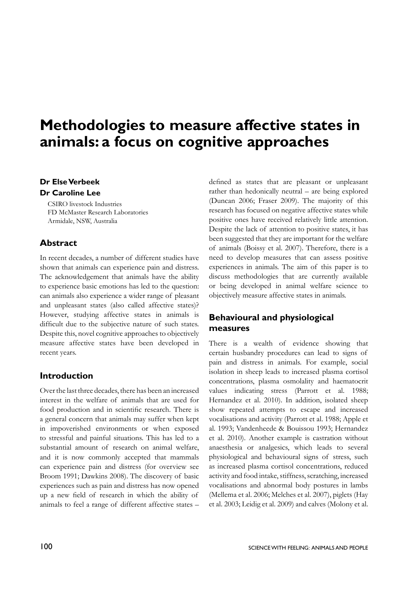# **Methodologies to measure affective states in animals: a focus on cognitive approaches**

#### **Dr Else Verbeek Dr Caroline Lee**

CSIRO livestock Industries FD McMaster Research Laboratories Armidale, NSW, Australia

## **Abstract**

In recent decades, a number of different studies have shown that animals can experience pain and distress. The acknowledgement that animals have the ability to experience basic emotions has led to the question: can animals also experience a wider range of pleasant and unpleasant states (also called affective states)? However, studying affective states in animals is difficult due to the subjective nature of such states. Despite this, novel cognitive approaches to objectively measure affective states have been developed in recent years.

# **Introduction**

Over the last three decades, there has been an increased interest in the welfare of animals that are used for food production and in scientific research. There is a general concern that animals may suffer when kept in impoverished environments or when exposed to stressful and painful situations. This has led to a substantial amount of research on animal welfare, and it is now commonly accepted that mammals can experience pain and distress (for overview see Broom 1991; Dawkins 2008). The discovery of basic experiences such as pain and distress has now opened up a new field of research in which the ability of animals to feel a range of different affective states –

defined as states that are pleasant or unpleasant rather than hedonically neutral – are being explored (Duncan 2006; Fraser 2009). The majority of this research has focused on negative affective states while positive ones have received relatively little attention. Despite the lack of attention to positive states, it has been suggested that they are important for the welfare of animals (Boissy et al. 2007). Therefore, there is a need to develop measures that can assess positive experiences in animals. The aim of this paper is to discuss methodologies that are currently available or being developed in animal welfare science to objectively measure affective states in animals.

# **Behavioural and physiological measures**

There is a wealth of evidence showing that certain husbandry procedures can lead to signs of pain and distress in animals. For example, social isolation in sheep leads to increased plasma cortisol concentrations, plasma osmolality and haematocrit values indicating stress (Parrott et al. 1988; Hernandez et al. 2010). In addition, isolated sheep show repeated attempts to escape and increased vocalisations and activity (Parrott et al. 1988; Apple et al. 1993; Vandenheede & Bouissou 1993; Hernandez et al. 2010). Another example is castration without anaesthesia or analgesics, which leads to several physiological and behavioural signs of stress, such as increased plasma cortisol concentrations, reduced activity and food intake, stiffness, scratching, increased vocalisations and abnormal body postures in lambs (Mellema et al. 2006; Melches et al. 2007), piglets (Hay et al. 2003; Leidig et al. 2009) and calves (Molony et al.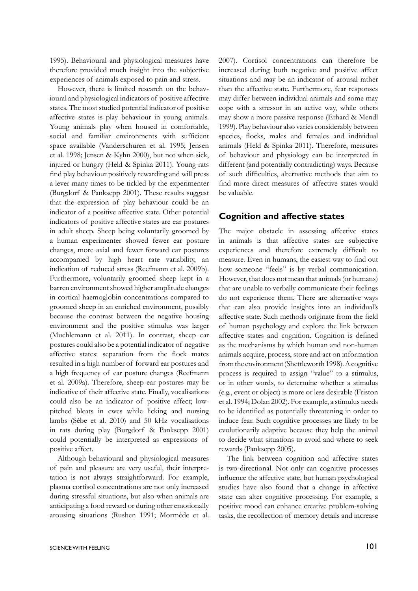1995). Behavioural and physiological measures have therefore provided much insight into the subjective experiences of animals exposed to pain and stress.

However, there is limited research on the behavioural and physiological indicators of positive affective states. The most studied potential indicator of positive affective states is play behaviour in young animals. Young animals play when housed in comfortable, social and familiar environments with sufficient space available (Vanderschuren et al. 1995; Jensen et al. 1998; Jensen & Kyhn 2000), but not when sick, injured or hungry (Held & Spinka 2011). Young rats find play behaviour positively rewarding and will press a lever many times to be tickled by the experimenter (Burgdorf & Panksepp 2001). These results suggest that the expression of play behaviour could be an indicator of a positive affective state. Other potential indicators of positive affective states are ear postures in adult sheep. Sheep being voluntarily groomed by a human experimenter showed fewer ear posture changes, more axial and fewer forward ear postures accompanied by high heart rate variability, an indication of reduced stress (Reefmann et al. 2009b). Furthermore, voluntarily groomed sheep kept in a barren environment showed higher amplitude changes in cortical haemoglobin concentrations compared to groomed sheep in an enriched environment, possibly because the contrast between the negative housing environment and the positive stimulus was larger (Muehlemann et al. 2011). In contrast, sheep ear postures could also be a potential indicator of negative affective states: separation from the flock mates resulted in a high number of forward ear postures and a high frequency of ear posture changes (Reefmann et al. 2009a). Therefore, sheep ear postures may be indicative of their affective state. Finally, vocalisations could also be an indicator of positive affect; lowpitched bleats in ewes while licking and nursing lambs (Sèbe et al. 2010) and 50 kHz vocalisations in rats during play (Burgdorf & Panksepp 2001) could potentially be interpreted as expressions of positive affect.

Although behavioural and physiological measures of pain and pleasure are very useful, their interpretation is not always straightforward. For example, plasma cortisol concentrations are not only increased during stressful situations, but also when animals are anticipating a food reward or during other emotionally arousing situations (Rushen 1991; Mormède et al. 2007). Cortisol concentrations can therefore be increased during both negative and positive affect situations and may be an indicator of arousal rather than the affective state. Furthermore, fear responses may differ between individual animals and some may cope with a stressor in an active way, while others may show a more passive response (Erhard & Mendl 1999). Play behaviour also varies considerably between species, flocks, males and females and individual animals (Held & Spinka 2011). Therefore, measures of behaviour and physiology can be interpreted in different (and potentially contradicting) ways. Because of such difficulties, alternative methods that aim to find more direct measures of affective states would be valuable.

#### **Cognition and affective states**

The major obstacle in assessing affective states in animals is that affective states are subjective experiences and therefore extremely difficult to measure. Even in humans, the easiest way to find out how someone "feels" is by verbal communication. However, that does not mean that animals (or humans) that are unable to verbally communicate their feelings do not experience them. There are alternative ways that can also provide insights into an individual's affective state. Such methods originate from the field of human psychology and explore the link between affective states and cognition. Cognition is defined as the mechanisms by which human and non-human animals acquire, process, store and act on information from the environment (Shettleworth 1998). A cognitive process is required to assign "value" to a stimulus, or in other words, to determine whether a stimulus (e.g., event or object) is more or less desirable (Friston et al. 1994; Dolan 2002). For example, a stimulus needs to be identified as potentially threatening in order to induce fear. Such cognitive processes are likely to be evolutionarily adaptive because they help the animal to decide what situations to avoid and where to seek rewards (Panksepp 2005).

The link between cognition and affective states is two-directional. Not only can cognitive processes influence the affective state, but human psychological studies have also found that a change in affective state can alter cognitive processing. For example, a positive mood can enhance creative problem-solving tasks, the recollection of memory details and increase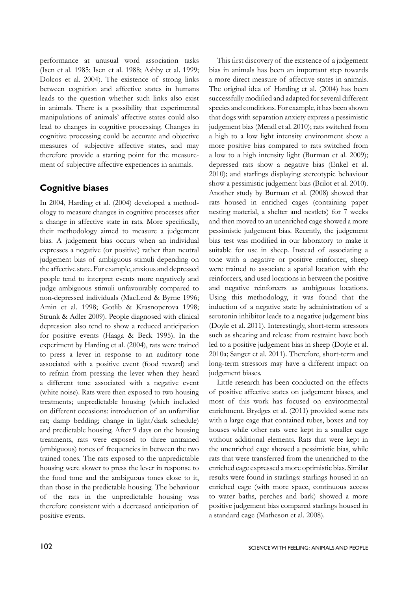performance at unusual word association tasks (Isen et al. 1985; Isen et al. 1988; Ashby et al. 1999; Dolcos et al. 2004). The existence of strong links between cognition and affective states in humans leads to the question whether such links also exist in animals. There is a possibility that experimental manipulations of animals' affective states could also lead to changes in cognitive processing. Changes in cognitive processing could be accurate and objective measures of subjective affective states, and may therefore provide a starting point for the measurement of subjective affective experiences in animals.

## **Cognitive biases**

In 2004, Harding et al. (2004) developed a methodology to measure changes in cognitive processes after a change in affective state in rats. More specifically, their methodology aimed to measure a judgement bias. A judgement bias occurs when an individual expresses a negative (or positive) rather than neutral judgement bias of ambiguous stimuli depending on the affective state. For example, anxious and depressed people tend to interpret events more negatively and judge ambiguous stimuli unfavourably compared to non-depressed individuals (MacLeod & Byrne 1996; Amin et al. 1998; Gotlib & Krasnoperova 1998; Strunk & Adler 2009). People diagnosed with clinical depression also tend to show a reduced anticipation for positive events (Haaga & Beck 1995). In the experiment by Harding et al. (2004), rats were trained to press a lever in response to an auditory tone associated with a positive event (food reward) and to refrain from pressing the lever when they heard a different tone associated with a negative event (white noise). Rats were then exposed to two housing treatments; unpredictable housing (which included on different occasions: introduction of an unfamiliar rat; damp bedding; change in light/dark schedule) and predictable housing. After 9 days on the housing treatments, rats were exposed to three untrained (ambiguous) tones of frequencies in between the two trained tones. The rats exposed to the unpredictable housing were slower to press the lever in response to the food tone and the ambiguous tones close to it, than those in the predictable housing. The behaviour of the rats in the unpredictable housing was therefore consistent with a decreased anticipation of positive events.

This first discovery of the existence of a judgement bias in animals has been an important step towards a more direct measure of affective states in animals. The original idea of Harding et al. (2004) has been successfully modified and adapted for several different species and conditions. For example, it has been shown that dogs with separation anxiety express a pessimistic judgement bias (Mendl et al. 2010); rats switched from a high to a low light intensity environment show a more positive bias compared to rats switched from a low to a high intensity light (Burman et al. 2009); depressed rats show a negative bias (Enkel et al. 2010); and starlings displaying stereotypic behaviour show a pessimistic judgement bias (Brilot et al. 2010). Another study by Burman et al. (2008) showed that rats housed in enriched cages (containing paper nesting material, a shelter and nestlets) for 7 weeks and then moved to an unenriched cage showed a more pessimistic judgement bias. Recently, the judgement bias test was modified in our laboratory to make it suitable for use in sheep. Instead of associating a tone with a negative or positive reinforcer, sheep were trained to associate a spatial location with the reinforcers, and used locations in between the positive and negative reinforcers as ambiguous locations. Using this methodology, it was found that the induction of a negative state by administration of a serotonin inhibitor leads to a negative judgement bias (Doyle et al. 2011). Interestingly, short-term stressors such as shearing and release from restraint have both led to a positive judgement bias in sheep (Doyle et al. 2010a; Sanger et al. 2011). Therefore, short-term and long-term stressors may have a different impact on judgement biases.

Little research has been conducted on the effects of positive affective states on judgement biases, and most of this work has focused on environmental enrichment. Brydges et al. (2011) provided some rats with a large cage that contained tubes, boxes and toy houses while other rats were kept in a smaller cage without additional elements. Rats that were kept in the unenriched cage showed a pessimistic bias, while rats that were transferred from the unenriched to the enriched cage expressed a more optimistic bias. Similar results were found in starlings: starlings housed in an enriched cage (with more space, continuous access to water baths, perches and bark) showed a more positive judgement bias compared starlings housed in a standard cage (Matheson et al. 2008).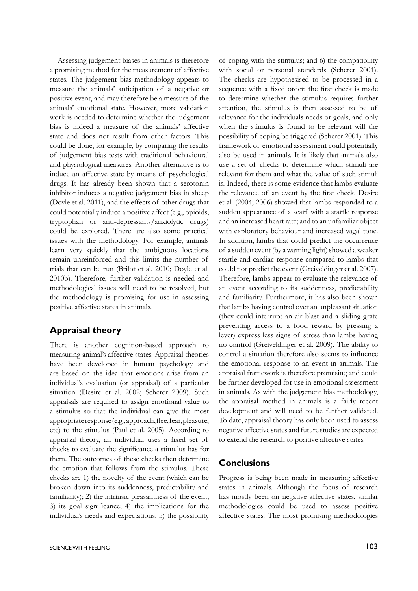Assessing judgement biases in animals is therefore a promising method for the measurement of affective states. The judgement bias methodology appears to measure the animals' anticipation of a negative or positive event, and may therefore be a measure of the animals' emotional state. However, more validation work is needed to determine whether the judgement bias is indeed a measure of the animals' affective state and does not result from other factors. This could be done, for example, by comparing the results of judgement bias tests with traditional behavioural and physiological measures. Another alternative is to induce an affective state by means of psychological drugs. It has already been shown that a serotonin inhibitor induces a negative judgement bias in sheep (Doyle et al. 2011), and the effects of other drugs that could potentially induce a positive affect (e.g., opioids, tryptophan or anti-depressants/anxiolytic drugs) could be explored. There are also some practical issues with the methodology. For example, animals learn very quickly that the ambiguous locations remain unreinforced and this limits the number of trials that can be run (Brilot et al. 2010; Doyle et al. 2010b). Therefore, further validation is needed and methodological issues will need to be resolved, but the methodology is promising for use in assessing positive affective states in animals.

## **Appraisal theory**

There is another cognition-based approach to measuring animal's affective states. Appraisal theories have been developed in human psychology and are based on the idea that emotions arise from an individual's evaluation (or appraisal) of a particular situation (Desire et al. 2002; Scherer 2009). Such appraisals are required to assign emotional value to a stimulus so that the individual can give the most appropriate response (e.g., approach, flee, fear, pleasure, etc) to the stimulus (Paul et al. 2005). According to appraisal theory, an individual uses a fixed set of checks to evaluate the significance a stimulus has for them. The outcomes of these checks then determine the emotion that follows from the stimulus. These checks are 1) the novelty of the event (which can be broken down into its suddenness, predictability and familiarity); 2) the intrinsic pleasantness of the event; 3) its goal significance; 4) the implications for the individual's needs and expectations; 5) the possibility

of coping with the stimulus; and 6) the compatibility with social or personal standards (Scherer 2001). The checks are hypothesised to be processed in a sequence with a fixed order: the first check is made to determine whether the stimulus requires further attention, the stimulus is then assessed to be of relevance for the individuals needs or goals, and only when the stimulus is found to be relevant will the possibility of coping be triggered (Scherer 2001). This framework of emotional assessment could potentially also be used in animals. It is likely that animals also use a set of checks to determine which stimuli are relevant for them and what the value of such stimuli is. Indeed, there is some evidence that lambs evaluate the relevance of an event by the first check. Desire et al. (2004; 2006) showed that lambs responded to a sudden appearance of a scarf with a startle response and an increased heart rate; and to an unfamiliar object with exploratory behaviour and increased vagal tone. In addition, lambs that could predict the occurrence of a sudden event (by a warning light) showed a weaker startle and cardiac response compared to lambs that could not predict the event (Greiveldinger et al. 2007). Therefore, lambs appear to evaluate the relevance of an event according to its suddenness, predictability and familiarity. Furthermore, it has also been shown that lambs having control over an unpleasant situation (they could interrupt an air blast and a sliding grate preventing access to a food reward by pressing a lever) express less signs of stress than lambs having no control (Greiveldinger et al. 2009). The ability to control a situation therefore also seems to influence the emotional response to an event in animals. The appraisal framework is therefore promising and could be further developed for use in emotional assessment in animals. As with the judgement bias methodology, the appraisal method in animals is a fairly recent development and will need to be further validated. To date, appraisal theory has only been used to assess negative affective states and future studies are expected to extend the research to positive affective states.

#### **Conclusions**

Progress is being been made in measuring affective states in animals. Although the focus of research has mostly been on negative affective states, similar methodologies could be used to assess positive affective states. The most promising methodologies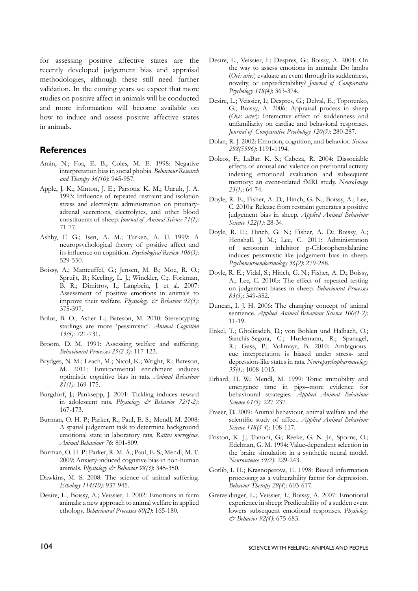for assessing positive affective states are the recently developed judgement bias and appraisal methodologies, although these still need further validation. In the coming years we expect that more studies on positive affect in animals will be conducted and more information will become available on how to induce and assess positive affective states in animals.

#### **References**

- Amin, N.; Foa, E. B.; Coles, M. E. 1998: Negative interpretation bias in social phobia. *Behaviour Research and Therapy 36(10)*: 945-957.
- Apple, J. K.; Minton, J. E.; Parsons. K. M.; Unruh, J. A. 1993: Influence of repeated restraint and isolation stress and electrolyte administration on pituitaryadrenal secretions, electrolytes, and other blood constituents of sheep. *Journal of Animal Science 71(1)*: 71-77.
- Ashby, F. G.; Isen, A. M.; Turken, A. U. 1999: A neuropsychological theory of positive affect and its influence on cognition. *Psychological Review 106(3)*: 529-550.
- Boissy, A.; Manteuffel, G.; Jensen, M. B.; Moe, R. O.; Spruijt, B.; Keeling, L. J.; Winckler, C.;. Forkman, B. R.; Dimitrov, I.; Langbein, J. et al. 2007: Assessment of positive emotions in animals to improve their welfare. *Physiology & Behavior 92(3)*: 375-397.
- Brilot, B. O.; Asher L.; Bateson, M. 2010: Stereotyping starlings are more 'pessimistic'. *Animal Cognition 13(5)*: 721-731.
- Broom, D. M. 1991: Assessing welfare and suffering. *Behavioural Processes 25(2-3)*: 117-123.
- Brydges, N. M.; Leach, M.; Nicol, K.; Wright, R.; Bateson, M. 2011: Environmental enrichment induces optimistic cognitive bias in rats. *Animal Behaviour 81(1)*: 169-175.
- Burgdorf, J.; Panksepp, J. 2001: Tickling induces reward in adolescent rats. *Physiology & Behavior 72(1-2)*: 167-173.
- Burman, O. H. P.; Parker, R.; Paul, E. S.; Mendl, M. 2008: A spatial judgement task to determine background emotional state in laboratory rats, *Rattus norvegicus*. *Animal Behaviour 76*: 801-809.
- Burman, O. H. P.; Parker, R. M. A.; Paul, E. S.; Mendl, M. T. 2009: Anxiety-induced cognitive bias in non-human animals. *Physiology & Behavior 98(3)*: 345-350.
- Dawkins, M. S. 2008: The science of animal suffering. *Ethology 114(10)*: 937-945.
- Desire, L., Boissy, A.; Veissier, I. 2002: Emotions in farm animals: a new approach to animal welfare in applied ethology. *Behavioural Processes 60(2)*: 165-180.
- Desire, L., Veissier, I.; Despres, G.; Boissy, A. 2004: On the way to assess emotions in animals: Do lambs (*Ovis aries*) evaluate an event through its suddenness, novelty, or unpredictability? *Journal of Comparative Psychology 118(4)*: 363-374.
- Desire, L.; Veissier, I.; Despres, G.; Delval, E.; Toporenko, G.; Boissy, A. 2006: Appraisal process in sheep (*Ovis aries*): Interactive effect of suddenness and unfamiliarity on cardiac and behavioral responses. *Journal of Comparative Psychology 120(3)*: 280-287.
- Dolan, R. J. 2002: Emotion, cognition, and behavior. *Science 298(5596)*: 1191-1194.
- Dolcos, F.; LaBar. K. S.; Cabeza, R. 2004: Dissociable effects of arousal and valence on prefrontal activity indexing emotional evaluation and subsequent memory: an event-related fMRI study. *NeuroImage 23(1)*: 64-74.
- Doyle, R. E.; Fisher, A. D.; Hinch, G. N.; Boissy, A.; Lee, C. 2010a: Release from restraint generates a positive judgement bias in sheep. *Applied Animal Behaviour Science 122(1)*: 28-34.
- Doyle, R. E.; Hinch, G. N.; Fisher, A. D.; Boissy, A.; Henshall, J. M.; Lee, C. 2011: Administration of serotonin inhibitor p-Chlorophenylalanine induces pessimistic-like judgement bias in sheep. *Psychoneuroendocrinology 36(2)*: 279-288.
- Doyle, R. E.; Vidal, S.; Hinch, G. N.; Fisher, A. D.; Boissy, A.; Lee, C. 2010b: The effect of repeated testing on judgement biases in sheep. *Behavioural Processes 83(3)*: 349-352.
- Duncan, I. J. H. 2006: The changing concept of animal sentience. *Applied Animal Behaviour Science 100(1-2)*: 11-19.
- Enkel, T.; Gholizadeh, D.; von Bohlen und Halbach, O.; Sanchis-Segura, C.; Hurlemann, R.; Spanagel, R.; Gass, P.; Vollmayr, B. 2010: Ambiguouscue interpretation is biased under stress- and depression-like states in rats. *Neuropsychopharmacology 35(4)*: 1008-1015.
- Erhard, H. W.; Mendl, M. 1999: Tonic immobility and emergence time in pigs--more evidence for behavioural strategies. *Applied Animal Behaviour Science 61(3)*: 227-237.
- Fraser, D. 2009: Animal behaviour, animal welfare and the scientific study of affect. *Applied Animal Behaviour Science 118(3-4*): 108-117.
- Friston, K. J.; Tononi, G.; Reeke, G. N. Jr., Sporns, O.; Edelman, G. M. 1994: Value-dependent selection in the brain: simulation in a synthetic neural model. *Neuroscience 59(2)*: 229-243.
- Gotlib, I. H.; Krasnoperova, E. 1998: Biased information processing as a vulnerability factor for depression. *Behavior Therapy 29(4*): 603-617.
- Greiveldinger, L.; Veissier, I.; Boissy, A. 2007: Emotional experience in sheep: Predictability of a sudden event lowers subsequent emotional responses. *Physiology & Behavior 92(4)*: 675-683.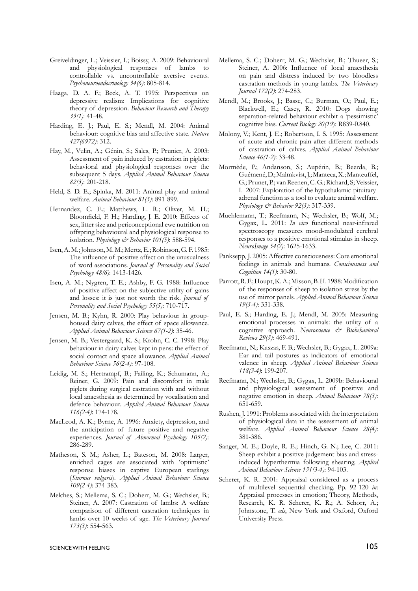- Greiveldinger, L.; Veissier, I.; Boissy, A. 2009: Behavioural and physiological responses of lambs to controllable vs. uncontrollable aversive events. *Psychoneuroendocrinology 34(6)*: 805-814.
- Haaga, D. A. F.; Beck, A. T. 1995: Perspectives on depressive realism: Implications for cognitive theory of depression. *Behaviour Research and Therapy 33(1)*: 41-48.
- Harding, E. J.; Paul, E. S.; Mendl, M. 2004: Animal behaviour: cognitive bias and affective state. *Nature 427(6972)*: 312.
- Hay, M., Vulin, A.; Génin, S.; Sales, P.; Prunier, A. 2003: Assessment of pain induced by castration in piglets: behavioral and physiological responses over the subsequent 5 days. *Applied Animal Behaviour Science 82(3)*: 201-218.
- Held, S. D. E.; Spinka, M. 2011: Animal play and animal welfare. *Animal Behaviour 81(5)*: 891-899.
- Hernandez, C. E.; Matthews, L. R.; Oliver, M. H.; Bloomfield, F. H.; Harding, J. E. 2010: Effects of sex, litter size and periconceptional ewe nutrition on offspring behavioural and physiological response to isolation. *Physiology & Behavior 101(5)*: 588-594.
- Isen, A. M.; Johnson, M. M.; Mertz, E.; Robinson, G. F. 1985: The influence of positive affect on the unusualness of word associations. *Journal of Personality and Social Psychology 48(6)*: 1413-1426.
- Isen, A. M.; Nygren, T. E.; Ashby, F. G. 1988: Influence of positive affect on the subjective utility of gains and losses: it is just not worth the risk. *Journal of Personality and Social Psychology 55(5)*: 710-717.
- Jensen, M. B.; Kyhn, R. 2000: Play behaviour in grouphoused dairy calves, the effect of space allowance. *Applied Animal Behaviour Science 67(1-2)*: 35-46.
- Jensen, M. B.; Vestergaard, K. S.; Krohn, C. C. 1998: Play behaviour in dairy calves kept in pens: the effect of social contact and space allowance. *Applied Animal Behaviour Science 56(2-4)*: 97-108.
- Leidig, M. S.; Hertrampf, B.; Failing, K.; Schumann, A.; Reiner, G. 2009: Pain and discomfort in male piglets during surgical castration with and without local anaesthesia as determined by vocalisation and defence behaviour. *Applied Animal Behaviour Science 116(2-4)*: 174-178.
- MacLeod, A. K.; Byrne, A. 1996: Anxiety, depression, and the anticipation of future positive and negative experiences. *Journal of Abnormal Psychology 105(2)*: 286-289.
- Matheson, S. M.; Asher, L.; Bateson, M. 2008: Larger, enriched cages are associated with 'optimistic' response biases in captive European starlings (*Sturnus vulgaris*). *Applied Animal Behaviour Science 109(2-4)*: 374-383.
- Melches, S.; Mellema, S. C.; Doherr, M. G.; Wechsler, B.; Steiner, A. 2007: Castration of lambs: A welfare comparison of different castration techniques in lambs over 10 weeks of age. *The Veterinary Journal 173(3)*: 554-563.
- Mellema, S. C.; Doherr, M. G.; Wechsler, B.; Thueer, S.; Steiner, A. 2006: Influence of local anaesthesia on pain and distress induced by two bloodless castration methods in young lambs. *The Veterinary Journal 172(2)*: 274-283.
- Mendl, M.; Brooks, J.; Basse, C.; Burman, O.; Paul, E.; Blackwell, E.; Casey, R. 2010: Dogs showing separation-related behaviour exhibit a 'pessimistic' cognitive bias. *Current Biology 20(19*): R839-R840.
- Molony, V.; Kent, J. E.; Robertson, I. S. 1995: Assessment of acute and chronic pain after different methods of castration of calves. *Applied Animal Behaviour Science 46(1-2)*: 33-48.
- Mormède, P.; Andanson, S.; Aupérin, B.; Beerda, B.; Guémené, D.; Malmkvist, J.; Manteca, X.; Manteuffel, G.; Prunet, P.; van Reenen, C. G.; Richard, S; Veissier, I. 2007: Exploration of the hypothalamic-pituitaryadrenal function as a tool to evaluate animal welfare. *Physiology & Behavior 92(3)*: 317-339.
- Muehlemann, T.; Reefmann, N.; Wechsler, B.; Wolf, M.; Gygax, L. 2011: *In vivo* functional near-infrared spectroscopy measures mood-modulated cerebral responses to a positive emotional stimulus in sheep. *NeuroImage 54(2)*: 1625-1633.
- Panksepp, J. 2005: Affective consciousness: Core emotional feelings in animals and humans. *Consciousness and Cognition 14(1)*: 30-80.
- Parrott, R. F.; Houpt, K. A.; Misson, B. H. 1988: Modification of the responses of sheep to isolation stress by the use of mirror panels. *Applied Animal Behaviour Science 19(3-4)*: 331-338.
- Paul, E. S.; Harding, E. J.; Mendl, M. 2005: Measuring emotional processes in animals: the utility of a cognitive approach. *Neuroscience & Biobehavioral Reviews 29(3)*: 469-491.
- Reefmann, N.; Kaszas, F. B.; Wechsler, B.; Gygax, L. 2009a: Ear and tail postures as indicators of emotional valence in sheep. *Applied Animal Behaviour Science 118(3-4)*: 199-207.
- Reefmann, N.; Wechsler, B.; Gygax, L. 2009b: Behavioural and physiological assessment of positive and negative emotion in sheep. *Animal Behaviour 78(3)*: 651-659.
- Rushen, J. 1991: Problems associated with the interpretation of physiological data in the assessment of animal welfare. *Applied Animal Behaviour Science 28(4)*: 381-386.
- Sanger, M. E.; Doyle, R. E.; Hinch, G. N.; Lee, C. 2011: Sheep exhibit a positive judgement bias and stressinduced hyperthermia following shearing. *Applied Animal Behaviour Science 131(3-4)*: 94-103.
- Scherer, K. R. 2001: Appraisal considered as a process of multilevel sequential checking. Pp. 92-120 *in*: Appraisal processes in emotion; Theory, Methods, Research, K. R. Scherer, K. R.; A. Schorr, A.; Johnstone, T. *eds*, New York and Oxford, Oxford University Press.